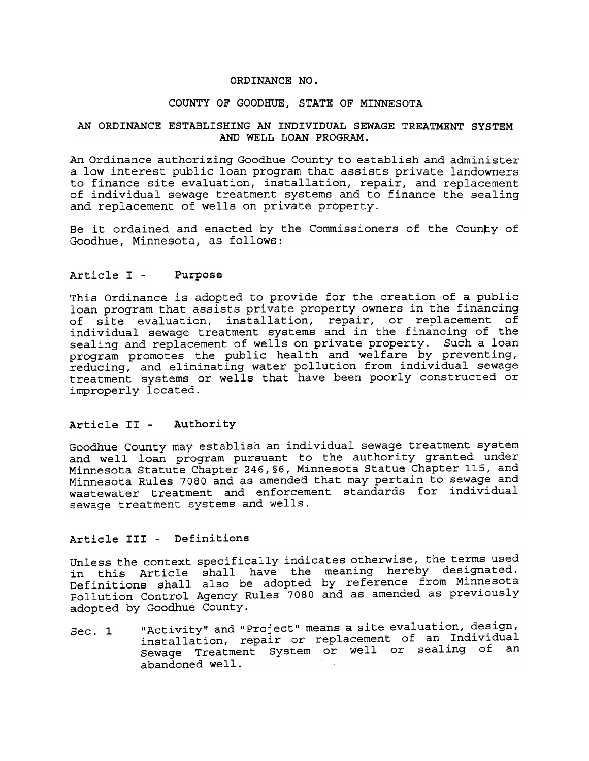### ORDINANCE NO.

#### COUNTY OF GOODHUE, STATE OF MINNESOTA

### AN ORDINANCE ESTABLISHING AN INDIVIDUAL SEWAGE TREATMENT SYSTEM AND WELL LOAN PROGRAM.

An Ordinance authorizing Goodhue County to establish and administer a low interest public loan program that assists private landowners to finance site evaluation, installation, repair, and replacement of individual sewage treatment systems and to finance the sealing and replacement of wells on private property.

Be it ordained and enacted by the Commissioners of the County of Goodhue, Minnesota, as follows:

#### Article I - Purpose

This Ordinance is adopted to provide for the creation of a public loan program that assists private property owners in the financing of site evaluation, installation, repair, or replacement of individual sewage treatment systems and in the financing of the sealing and replacement of wells on private property. Such a loan program promotes the public health and welfare by preventing, reducing, and eliminating water pollution from individual sewage treatment systems or wells that have been poorly constructed or improperly located.

### Article II - Authority

Goodhue County may establish an individual sewage treatment system and well loan program pursuant to the authority granted under Minnesota Statute Chapter 246,§6, Minnesota Statue Chapter 115, and Minnesota Rules 7080 and as amended that may pertain to sewage and wastewater treatment and enforcement standards for individual sewage treatment systems and wells.

# Article III - Definitions

Unless the context specifically indicates otherwise, the terms used in this Article shall have the meaning hereby designat Definitions shall also be adopted by reference from Minneso Pollution Control Agency Rules 7080 and as amended as previously adopted by Goodhue County.

"Activity" and "Project" means a site evaluation, design, installation, repair or replacement of an Individual Sewage Treatment System or well or sealing of an abandoned well.  $Sec. 1$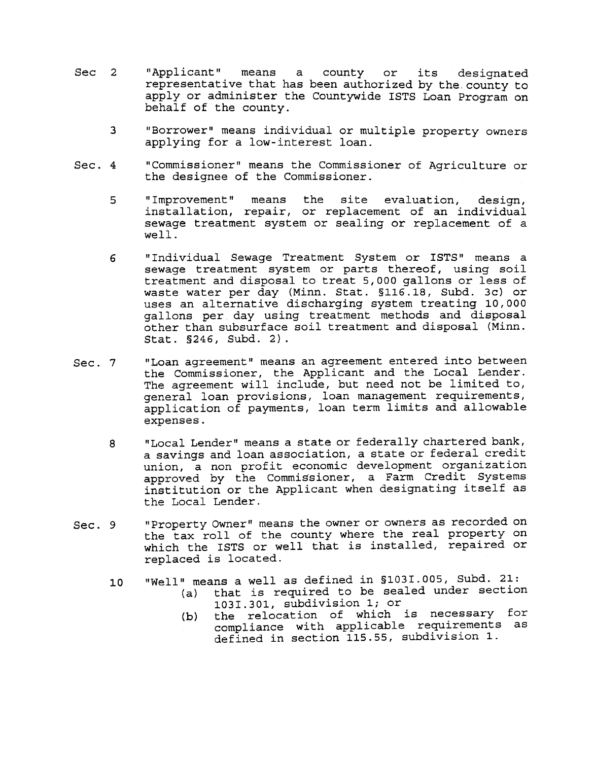- Sec 2 "Applicant" means a county or its designated representative that has been authorized by the county to apply or administer the Countywide ISTS Loan Program on behalf of the county.
	- 3 "Borrower" means individual or multiple property owners applying for a low-interest loan.
- 4 "Commissioner" means the Commissioner of Agriculture or the designee of the Commissioner.
	- 5 "Improvement" means the site evaluation, design, installation, repair, or replacement of an individual sewage treatment system or sealing or replacement of a well.
	- 6 "Individual Sewage Treatment System or ISTS" means a sewage treatment system or parts thereof, using soil treatment and disposal to treat 5,000 gallons or less of waste water per day (Minn. Stat. §116.18, Subd. 3c) or uses an alternative discharging system treating 10,000 gallons per day using treatment methods and disposal other than subsurface soil treatment and disposal (Minn. §246, Subd. 2).
- "Loan agreement" means an agreement entered into between Sec. 7 the Commissioner, the Applicant and the Local Lender. The agreement will include, but need not be limited to, general loan provisions, loan management requirements, application of payments, loan term limits and allowable expenses.
	- "Local Lender" means a state or federally chartered bank, a savings and loan association, a state or federal credit union, a non profit economic development organization approved by the Commissioner, a Farm Credit Systems institution or the Applicant when designating itself as the Local Lender. 8
- "Property Owner" means the owner or owners as recorded on the tax roll of the county where the real property on which the ISTS or well that is installed, repaired or replaced is located. Sec. 9
	- 10 means a well as defined in §103I.OO5, Subd. 21: (a) that is required to be sealed under section
		- 103I.301, subdivision 1; or
		- (b) the relocation of which is necessary for compliance with applicable requirements as defined in section 115.55, subdivision 1.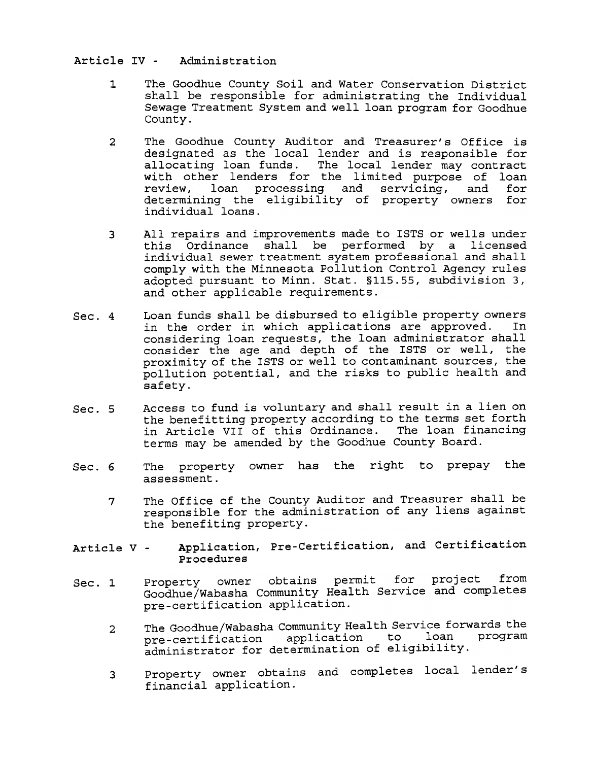Article IV - Aclministration

- 1 The Goodhue County Soil and Water Conservation District shall be responsible for administrating the Individual Sewage Treatment System and well loan program for Goodhue County.
- 2 The Goodhue County Auditor and Treasurer's Office is designated as the local lender and is responsible for allocating loan funds. The local lender may contract with other lenders for the limited purpose of loan review, loan processing and servicing, and for determining the eligibility of property owners for individual loans.
- All repairs and improvements made to ISTS or wells under this Ordinance shall be performed by a licensed individual sewer treatment system professional and shall comply with the Minnesota Pollution Control Agency rules adopted pursuant to Minn. Stat. §115.55, subdivision 3, and other applicable requirements. 3
- Sec. 4 Loan funds shall be disbursed to eligible property owners<br>in the order in which applications are approved. In in the order in which applications are approved. considering loan requests, the loan administrator shall consider the age and depth of the ISTS or well, the proximity of the ISTS or well to contaminant sources, the pollution potential, and the risks to public health and safety.
- Access to fund is voluntary and shall result in a lien on the benefitting property according to the terms set forth in Article VII of this Ordinance. The loan financing terms may be amended by the Goodhue County Board.  $Sec. 5$
- Sec. 6 The property owner has the right to prepay the assessment.
	- The Office of the County Auditor and Treasurer shall be responsible for the administration of any liens against the benefiting property. 7
- Application, Pre-Certification, and Certification Procedures Article V -
- Property owner obtains permit for project from Goodhue/Wabasha Community Health Service and completes pre-certification application.  $Sec. 1$ 
	- The Goodhue/Wabasha Community Health Service forwards the pre-certification application to loan program administrator for determination of eligibility. 2
	- Property owner obtains and completes local lender financial applicat 3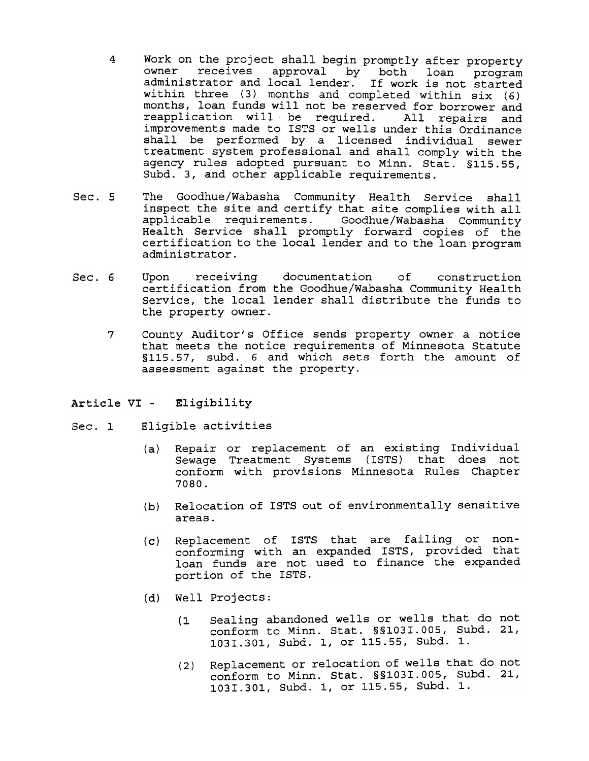- 4 Work on the project shall begin promptly after property owner receives approval by both loan program administrator and local lender. If work is not started within three (3) months and completed within six (6) months, loan funds will not be reserved for borrower and reapplication will be required. All repairs and improvements made to ISTS or wells under this Ordinance shall be performed by a licensed individual sewer treatment system professional and shall comply with the agency rules adopted pursuant to Minn. Stat. §115.55, Subd. 3, and other applicable requirements.
- Sec. 5 The Goodhue/Wabasha Community Health Service shall inspect the site and certify that site complies with all applicable requirements. Goodhue/Wabasha Community Health Service shall promptly forward copies of the certification to the local lender and to the loan program administrator.
- 6 Upon receiving documentation of construction certification from the Goodhue/Wabasha Community Health Service, the local lender shall distribute the funds to the property owner.
	- County Auditor's Office sends property owner a notice that meets the notice requirements of Minnesota Statute §11S.S7, subd. 6 and which sets forth the amount of assessment against the property. 7

### Eligibility Article VI -

- Eligible activities  $Sec. 1$ 
	- Repair or replacement of an existing Individ (a) Sewage Treatment Systems (ISTS) that does not conform with provisions Minnesota Rules Chapte 7080.
	- (b) Relocation of ISTS out of environmentally sensitive areas.
	- (c) Replacement of ISTS that are failing or nonconforming with an expanded ISTS, provided that loan funds are not used to finance the expanded portion of the ISTS.
	- (d) Well Projects:
		- Sealing abandoned wells or wells that do not conform to Minn. Stat. §§103I.OO5, Subd. 21, 103I.301, Subd. 1, or 115.55, Subd. 1.  $(1)$
		- Replacement or relocation of wells that do not conform to Minn. Stat. §§103I.OO5, Subd. 21, 103I.301, Subd. 1, or 115.55, Subd. 1. (2)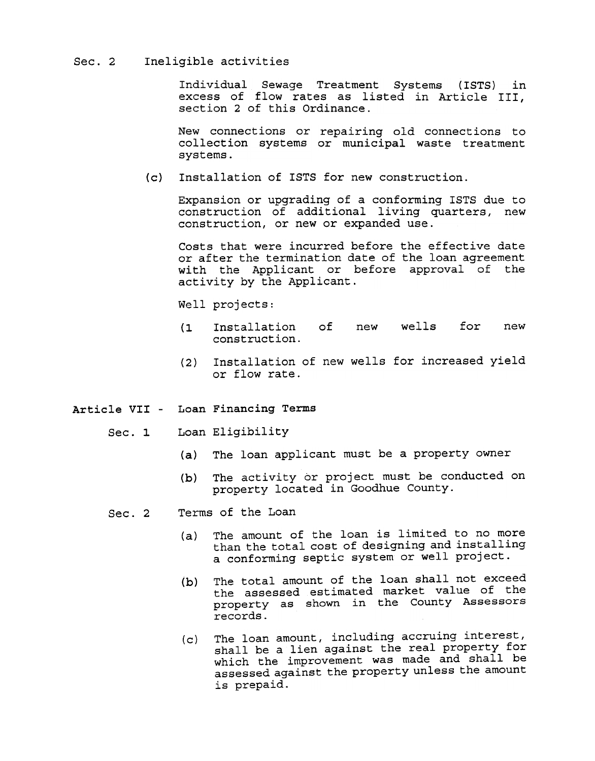## Sec. 2 Ineligible activities

Individual Sewage Treatment Systems (ISTS) excess of flow rates as listed in Article II section 2 of this Ordinance. in

New connections or repairing old connections to collection systems or municipal waste treatme systems.

(c) Installation of ISTS for new construction.

Expansion or upgrading of a conforming ISTS due to construction of additional living quarters, new construction, or new or expanded use.

Costs that were incurred before the effective date or after the termination date of the loan agreement with the Applicant or before approval of the activity by the Applicant.

Well projects:

- (1 Installation of new wells for new new
- Installation of new wells for increased yield or flow rate. (2)
- Article VII Loan Financing Terms
	- Loan Eligibility  $Sec. 1$ 
		- (a) The loan applicant must be a property owner
		- The activity or project must be conducted on property located in Goodhue County.  $(b)$
	- Terms of the Loan  $Sec. 2$ 
		- The amount of the loan is limited to no more than the total cost of designing and installing a conforming septic system or well project. (a)
		- The total amount of the loan shall not exceed the assessed estimated market value of the property as shown in the County Assessors records.  $(b)$
		- The loan amount, including accruing interest, shall be a lien against the real property for which the improvement was made and shall be assessed against the property unless the amount is prepaid.  $(c)$